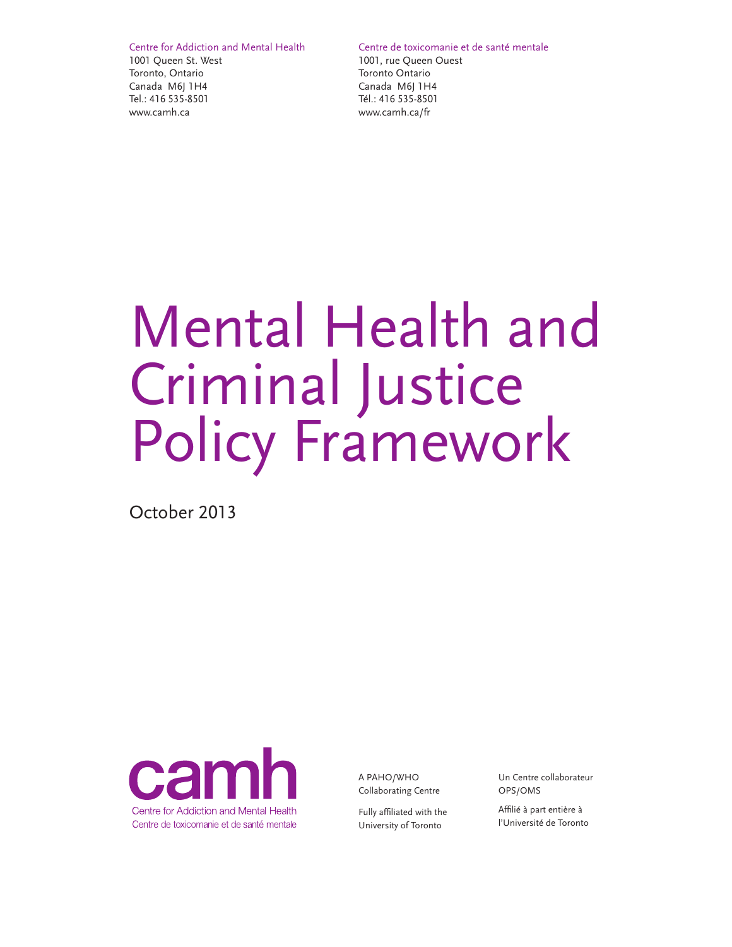Centre for Addiction and Mental Health 1001 Queen St. West Toronto, Ontario Canada M6J 1H4 Tel.: 416 535-8501 www.camh.ca

Centre de toxicomanie et de santé mentale

1001, rue Queen Ouest Toronto Ontario Canada M6J 1H4 Tél.: 416 535-8501 www.camh.ca/fr

# Mental Health and Criminal Justice Policy Framework

October 2013



A PAHO/WHO Collaborating Centre

Fully affiliated with the University of Toronto

Un Centre collaborateur OPS/OMS

Affilié à part entière à l'Université de Toronto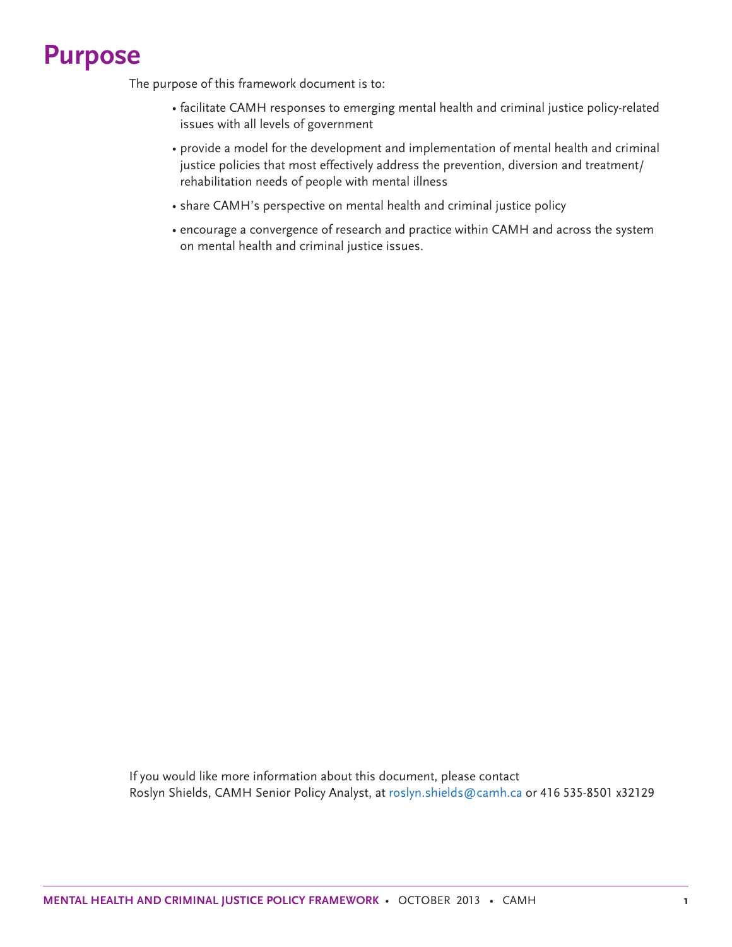### **Purpose**

The purpose of this framework document is to:

- facilitate CAMH responses to emerging mental health and criminal justice policy-related issues with all levels of government
- provide a model for the development and implementation of mental health and criminal justice policies that most effectively address the prevention, diversion and treatment/ rehabilitation needs of people with mental illness
- share CAMH's perspective on mental health and criminal justice policy
- encourage a convergence of research and practice within CAMH and across the system on mental health and criminal justice issues.

If you would like more information about this document, please contact Roslyn Shields, CAMH Senior Policy Analyst, at roslyn.shields@camh.ca or 416 535-8501 x32129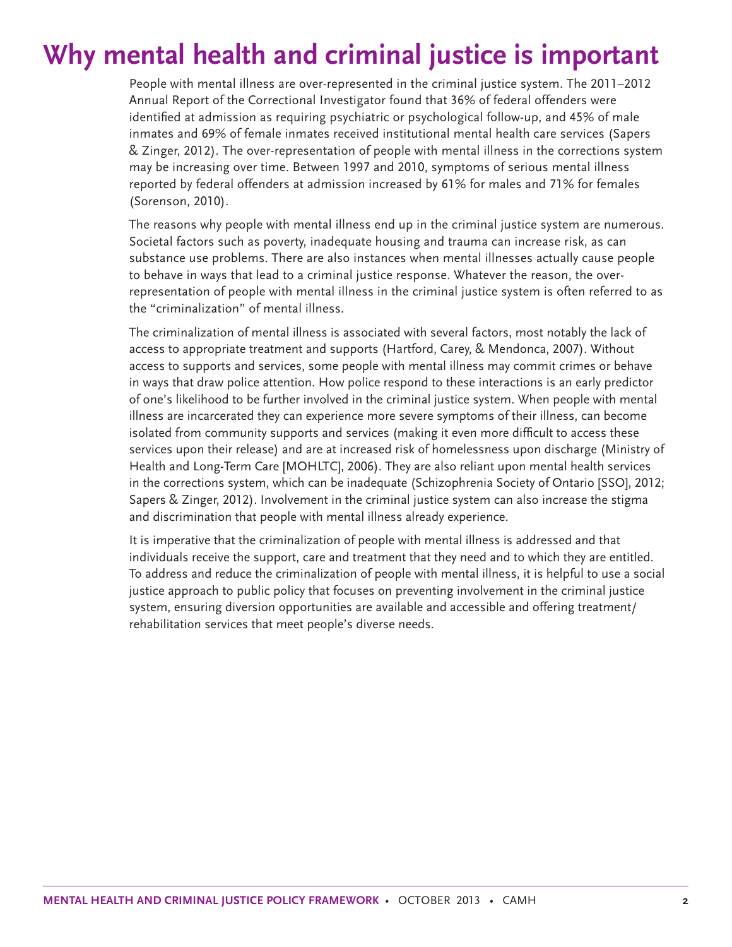# **Why mental health and criminal justice is important**

People with mental illness are over-represented in the criminal justice system. The 2011–2012 Annual Report of the Correctional Investigator found that 36% of federal offenders were identified at admission as requiring psychiatric or psychological follow-up, and 45% of male inmates and 69% of female inmates received institutional mental health care services (Sapers & Zinger, 2012). The over-representation of people with mental illness in the corrections system may be increasing over time. Between 1997 and 2010, symptoms of serious mental illness reported by federal offenders at admission increased by 61% for males and 71% for females (Sorenson, 2010).

The reasons why people with mental illness end up in the criminal justice system are numerous. Societal factors such as poverty, inadequate housing and trauma can increase risk, as can substance use problems. There are also instances when mental illnesses actually cause people to behave in ways that lead to a criminal justice response. Whatever the reason, the overrepresentation of people with mental illness in the criminal justice system is often referred to as the "criminalization" of mental illness.

The criminalization of mental illness is associated with several factors, most notably the lack of access to appropriate treatment and supports (Hartford, Carey, & Mendonca, 2007). Without access to supports and services, some people with mental illness may commit crimes or behave in ways that draw police attention. How police respond to these interactions is an early predictor of one's likelihood to be further involved in the criminal justice system. When people with mental illness are incarcerated they can experience more severe symptoms of their illness, can become isolated from community supports and services (making it even more difficult to access these services upon their release) and are at increased risk of homelessness upon discharge (Ministry of Health and Long-Term Care [MOHLTC], 2006). They are also reliant upon mental health services in the corrections system, which can be inadequate (Schizophrenia Society of Ontario [SSO], 2012; Sapers & Zinger, 2012). Involvement in the criminal justice system can also increase the stigma and discrimination that people with mental illness already experience.

It is imperative that the criminalization of people with mental illness is addressed and that individuals receive the support, care and treatment that they need and to which they are entitled. To address and reduce the criminalization of people with mental illness, it is helpful to use a social justice approach to public policy that focuses on preventing involvement in the criminal justice system, ensuring diversion opportunities are available and accessible and offering treatment/ rehabilitation services that meet people's diverse needs.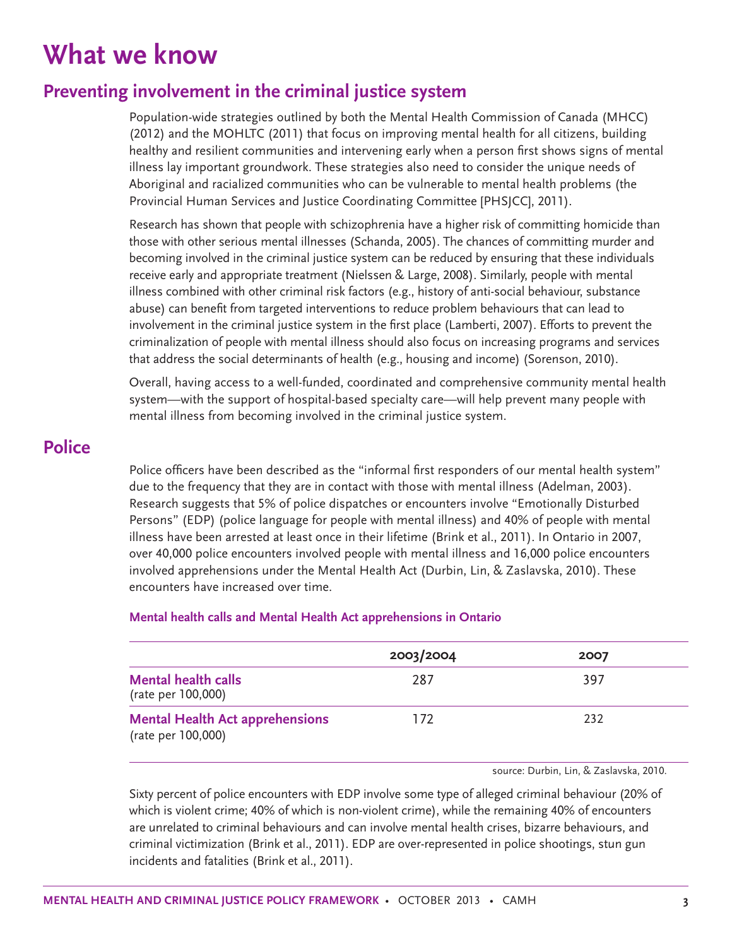# **What we know**

### **Preventing involvement in the criminal justice system**

Population-wide strategies outlined by both the Mental Health Commission of Canada (MHCC) (2012) and the MOHLTC (2011) that focus on improving mental health for all citizens, building healthy and resilient communities and intervening early when a person first shows signs of mental illness lay important groundwork. These strategies also need to consider the unique needs of Aboriginal and racialized communities who can be vulnerable to mental health problems (the Provincial Human Services and Justice Coordinating Committee [PHSJCC], 2011).

Research has shown that people with schizophrenia have a higher risk of committing homicide than those with other serious mental illnesses (Schanda, 2005). The chances of committing murder and becoming involved in the criminal justice system can be reduced by ensuring that these individuals receive early and appropriate treatment (Nielssen & Large, 2008). Similarly, people with mental illness combined with other criminal risk factors (e.g., history of anti-social behaviour, substance abuse) can benefit from targeted interventions to reduce problem behaviours that can lead to involvement in the criminal justice system in the first place (Lamberti, 2007). Efforts to prevent the criminalization of people with mental illness should also focus on increasing programs and services that address the social determinants of health (e.g., housing and income) (Sorenson, 2010).

Overall, having access to a well-funded, coordinated and comprehensive community mental health system—with the support of hospital-based specialty care—will help prevent many people with mental illness from becoming involved in the criminal justice system.

### **Police**

Police officers have been described as the "informal first responders of our mental health system" due to the frequency that they are in contact with those with mental illness (Adelman, 2003). Research suggests that 5% of police dispatches or encounters involve "Emotionally Disturbed Persons" (EDP) (police language for people with mental illness) and 40% of people with mental illness have been arrested at least once in their lifetime (Brink et al., 2011). In Ontario in 2007, over 40,000 police encounters involved people with mental illness and 16,000 police encounters involved apprehensions under the Mental Health Act (Durbin, Lin, & Zaslavska, 2010). These encounters have increased over time.

|                                                              | 2003/2004 | 2007 |  |
|--------------------------------------------------------------|-----------|------|--|
| <b>Mental health calls</b><br>(rate per 100,000)             | 287       | 397  |  |
| <b>Mental Health Act apprehensions</b><br>(rate per 100,000) | 172       | 232  |  |

#### **Mental health calls and Mental Health Act apprehensions in Ontario**

source: Durbin, Lin, & Zaslavska, 2010.

Sixty percent of police encounters with EDP involve some type of alleged criminal behaviour (20% of which is violent crime; 40% of which is non-violent crime), while the remaining 40% of encounters are unrelated to criminal behaviours and can involve mental health crises, bizarre behaviours, and criminal victimization (Brink et al., 2011). EDP are over-represented in police shootings, stun gun incidents and fatalities (Brink et al., 2011).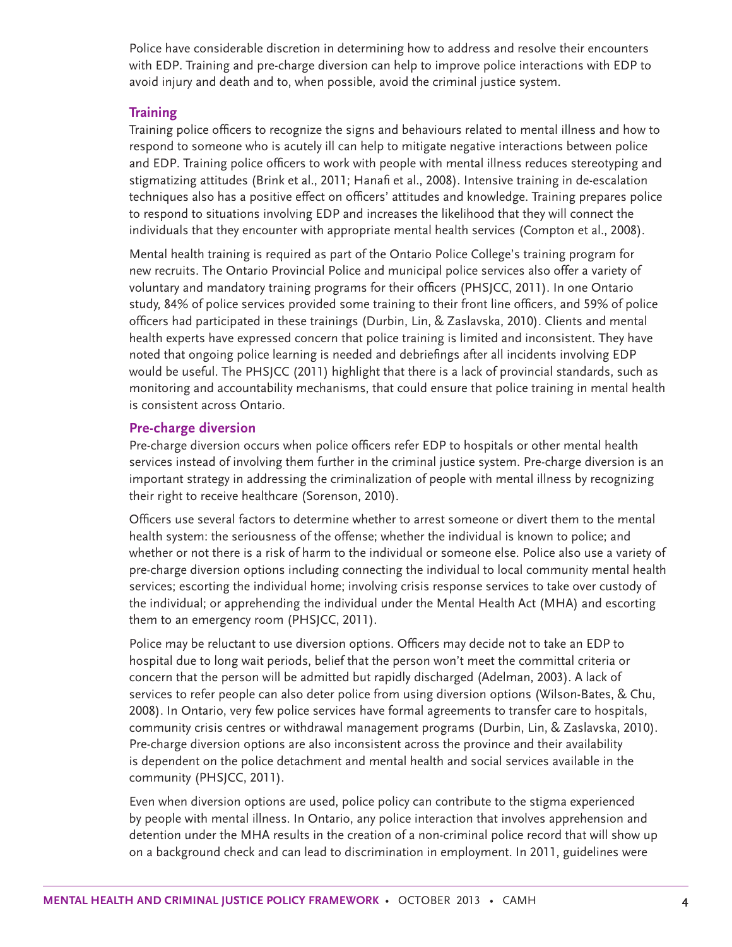Police have considerable discretion in determining how to address and resolve their encounters with EDP. Training and pre-charge diversion can help to improve police interactions with EDP to avoid injury and death and to, when possible, avoid the criminal justice system.

#### **Training**

Training police officers to recognize the signs and behaviours related to mental illness and how to respond to someone who is acutely ill can help to mitigate negative interactions between police and EDP. Training police officers to work with people with mental illness reduces stereotyping and stigmatizing attitudes (Brink et al., 2011; Hanafi et al., 2008). Intensive training in de-escalation techniques also has a positive effect on officers' attitudes and knowledge. Training prepares police to respond to situations involving EDP and increases the likelihood that they will connect the individuals that they encounter with appropriate mental health services (Compton et al., 2008).

Mental health training is required as part of the Ontario Police College's training program for new recruits. The Ontario Provincial Police and municipal police services also offer a variety of voluntary and mandatory training programs for their officers (PHSJCC, 2011). In one Ontario study, 84% of police services provided some training to their front line officers, and 59% of police officers had participated in these trainings (Durbin, Lin, & Zaslavska, 2010). Clients and mental health experts have expressed concern that police training is limited and inconsistent. They have noted that ongoing police learning is needed and debriefings after all incidents involving EDP would be useful. The PHSJCC (2011) highlight that there is a lack of provincial standards, such as monitoring and accountability mechanisms, that could ensure that police training in mental health is consistent across Ontario.

#### **Pre-charge diversion**

Pre-charge diversion occurs when police officers refer EDP to hospitals or other mental health services instead of involving them further in the criminal justice system. Pre-charge diversion is an important strategy in addressing the criminalization of people with mental illness by recognizing their right to receive healthcare (Sorenson, 2010).

Officers use several factors to determine whether to arrest someone or divert them to the mental health system: the seriousness of the offense; whether the individual is known to police; and whether or not there is a risk of harm to the individual or someone else. Police also use a variety of pre-charge diversion options including connecting the individual to local community mental health services; escorting the individual home; involving crisis response services to take over custody of the individual; or apprehending the individual under the Mental Health Act (MHA) and escorting them to an emergency room (PHSJCC, 2011).

Police may be reluctant to use diversion options. Officers may decide not to take an EDP to hospital due to long wait periods, belief that the person won't meet the committal criteria or concern that the person will be admitted but rapidly discharged (Adelman, 2003). A lack of services to refer people can also deter police from using diversion options (Wilson-Bates, & Chu, 2008). In Ontario, very few police services have formal agreements to transfer care to hospitals, community crisis centres or withdrawal management programs (Durbin, Lin, & Zaslavska, 2010). Pre-charge diversion options are also inconsistent across the province and their availability is dependent on the police detachment and mental health and social services available in the community (PHSJCC, 2011).

Even when diversion options are used, police policy can contribute to the stigma experienced by people with mental illness. In Ontario, any police interaction that involves apprehension and detention under the MHA results in the creation of a non-criminal police record that will show up on a background check and can lead to discrimination in employment. In 2011, guidelines were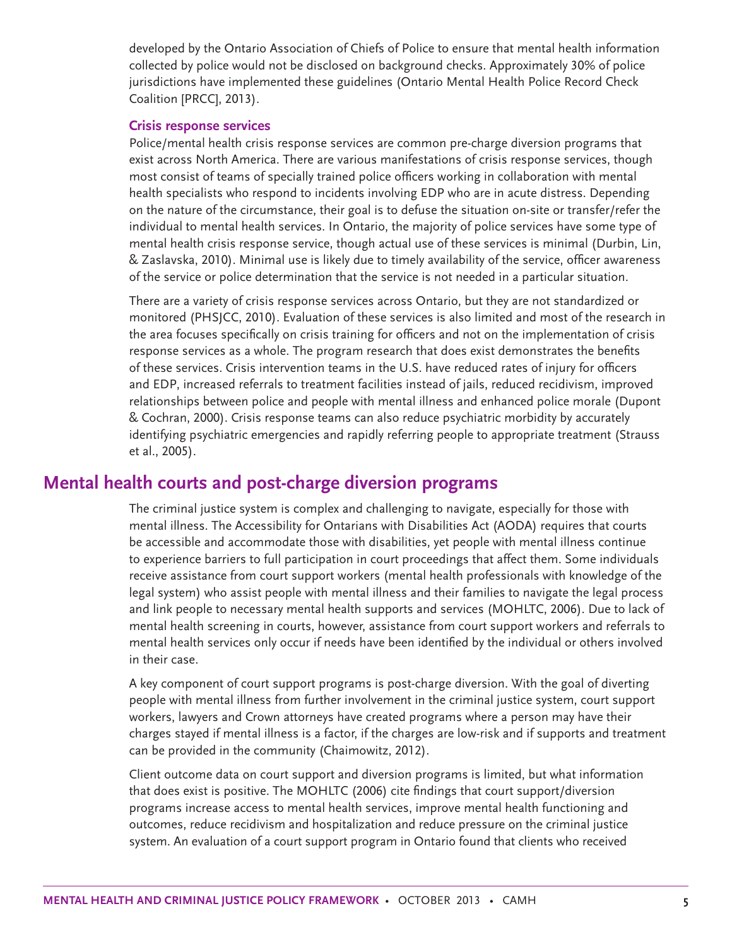developed by the Ontario Association of Chiefs of Police to ensure that mental health information collected by police would not be disclosed on background checks. Approximately 30% of police jurisdictions have implemented these guidelines (Ontario Mental Health Police Record Check Coalition [PRCC], 2013).

#### **Crisis response services**

Police/mental health crisis response services are common pre-charge diversion programs that exist across North America. There are various manifestations of crisis response services, though most consist of teams of specially trained police officers working in collaboration with mental health specialists who respond to incidents involving EDP who are in acute distress. Depending on the nature of the circumstance, their goal is to defuse the situation on-site or transfer/refer the individual to mental health services. In Ontario, the majority of police services have some type of mental health crisis response service, though actual use of these services is minimal (Durbin, Lin, & Zaslavska, 2010). Minimal use is likely due to timely availability of the service, officer awareness of the service or police determination that the service is not needed in a particular situation.

There are a variety of crisis response services across Ontario, but they are not standardized or monitored (PHSJCC, 2010). Evaluation of these services is also limited and most of the research in the area focuses specifically on crisis training for officers and not on the implementation of crisis response services as a whole. The program research that does exist demonstrates the benefits of these services. Crisis intervention teams in the U.S. have reduced rates of injury for officers and EDP, increased referrals to treatment facilities instead of jails, reduced recidivism, improved relationships between police and people with mental illness and enhanced police morale (Dupont & Cochran, 2000). Crisis response teams can also reduce psychiatric morbidity by accurately identifying psychiatric emergencies and rapidly referring people to appropriate treatment (Strauss et al., 2005).

### **Mental health courts and post-charge diversion programs**

The criminal justice system is complex and challenging to navigate, especially for those with mental illness. The Accessibility for Ontarians with Disabilities Act (AODA) requires that courts be accessible and accommodate those with disabilities, yet people with mental illness continue to experience barriers to full participation in court proceedings that affect them. Some individuals receive assistance from court support workers (mental health professionals with knowledge of the legal system) who assist people with mental illness and their families to navigate the legal process and link people to necessary mental health supports and services (MOHLTC, 2006). Due to lack of mental health screening in courts, however, assistance from court support workers and referrals to mental health services only occur if needs have been identified by the individual or others involved in their case.

A key component of court support programs is post-charge diversion. With the goal of diverting people with mental illness from further involvement in the criminal justice system, court support workers, lawyers and Crown attorneys have created programs where a person may have their charges stayed if mental illness is a factor, if the charges are low-risk and if supports and treatment can be provided in the community (Chaimowitz, 2012).

Client outcome data on court support and diversion programs is limited, but what information that does exist is positive. The MOHLTC (2006) cite findings that court support/diversion programs increase access to mental health services, improve mental health functioning and outcomes, reduce recidivism and hospitalization and reduce pressure on the criminal justice system. An evaluation of a court support program in Ontario found that clients who received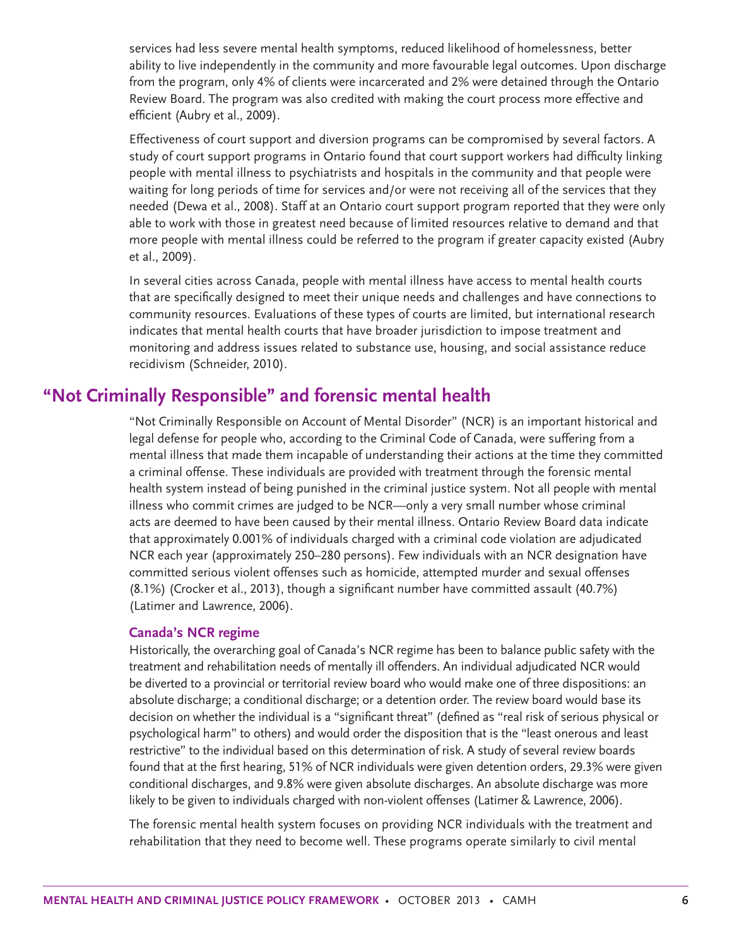services had less severe mental health symptoms, reduced likelihood of homelessness, better ability to live independently in the community and more favourable legal outcomes. Upon discharge from the program, only 4% of clients were incarcerated and 2% were detained through the Ontario Review Board. The program was also credited with making the court process more effective and efficient (Aubry et al., 2009).

Effectiveness of court support and diversion programs can be compromised by several factors. A study of court support programs in Ontario found that court support workers had difficulty linking people with mental illness to psychiatrists and hospitals in the community and that people were waiting for long periods of time for services and/or were not receiving all of the services that they needed (Dewa et al., 2008). Staff at an Ontario court support program reported that they were only able to work with those in greatest need because of limited resources relative to demand and that more people with mental illness could be referred to the program if greater capacity existed (Aubry et al., 2009).

In several cities across Canada, people with mental illness have access to mental health courts that are specifically designed to meet their unique needs and challenges and have connections to community resources. Evaluations of these types of courts are limited, but international research indicates that mental health courts that have broader jurisdiction to impose treatment and monitoring and address issues related to substance use, housing, and social assistance reduce recidivism (Schneider, 2010).

### **"Not Criminally Responsible" and forensic mental health**

"Not Criminally Responsible on Account of Mental Disorder" (NCR) is an important historical and legal defense for people who, according to the Criminal Code of Canada, were suffering from a mental illness that made them incapable of understanding their actions at the time they committed a criminal offense. These individuals are provided with treatment through the forensic mental health system instead of being punished in the criminal justice system. Not all people with mental illness who commit crimes are judged to be NCR—only a very small number whose criminal acts are deemed to have been caused by their mental illness. Ontario Review Board data indicate that approximately 0.001% of individuals charged with a criminal code violation are adjudicated NCR each year (approximately 250–280 persons). Few individuals with an NCR designation have committed serious violent offenses such as homicide, attempted murder and sexual offenses (8.1%) (Crocker et al., 2013), though a significant number have committed assault (40.7%) (Latimer and Lawrence, 2006).

#### **Canada's NCR regime**

Historically, the overarching goal of Canada's NCR regime has been to balance public safety with the treatment and rehabilitation needs of mentally ill offenders. An individual adjudicated NCR would be diverted to a provincial or territorial review board who would make one of three dispositions: an absolute discharge; a conditional discharge; or a detention order. The review board would base its decision on whether the individual is a "significant threat" (defined as "real risk of serious physical or psychological harm" to others) and would order the disposition that is the "least onerous and least restrictive" to the individual based on this determination of risk. A study of several review boards found that at the first hearing, 51% of NCR individuals were given detention orders, 29.3% were given conditional discharges, and 9.8% were given absolute discharges. An absolute discharge was more likely to be given to individuals charged with non-violent offenses (Latimer & Lawrence, 2006).

The forensic mental health system focuses on providing NCR individuals with the treatment and rehabilitation that they need to become well. These programs operate similarly to civil mental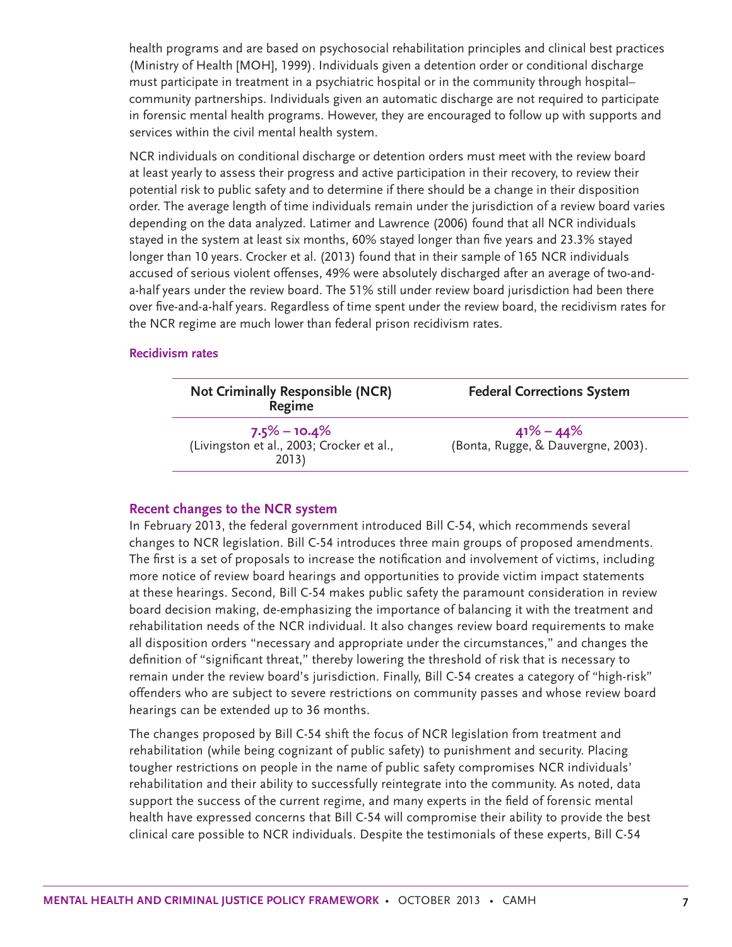health programs and are based on psychosocial rehabilitation principles and clinical best practices (Ministry of Health [MOH], 1999). Individuals given a detention order or conditional discharge must participate in treatment in a psychiatric hospital or in the community through hospital– community partnerships. Individuals given an automatic discharge are not required to participate in forensic mental health programs. However, they are encouraged to follow up with supports and services within the civil mental health system.

NCR individuals on conditional discharge or detention orders must meet with the review board at least yearly to assess their progress and active participation in their recovery, to review their potential risk to public safety and to determine if there should be a change in their disposition order. The average length of time individuals remain under the jurisdiction of a review board varies depending on the data analyzed. Latimer and Lawrence (2006) found that all NCR individuals stayed in the system at least six months, 60% stayed longer than five years and 23.3% stayed longer than 10 years. Crocker et al. (2013) found that in their sample of 165 NCR individuals accused of serious violent offenses, 49% were absolutely discharged after an average of two-anda-half years under the review board. The 51% still under review board jurisdiction had been there over five-and-a-half years. Regardless of time spent under the review board, the recidivism rates for the NCR regime are much lower than federal prison recidivism rates.

#### **Recidivism rates**

| <b>Not Criminally Responsible (NCR)</b><br>Regime                      | <b>Federal Corrections System</b>                   |
|------------------------------------------------------------------------|-----------------------------------------------------|
| $7.5\% - 10.4\%$<br>(Livingston et al., 2003; Crocker et al.,<br>2013) | $41\% - 44\%$<br>(Bonta, Rugge, & Dauvergne, 2003). |

#### **Recent changes to the NCR system**

In February 2013, the federal government introduced Bill C-54, which recommends several changes to NCR legislation. Bill C-54 introduces three main groups of proposed amendments. The first is a set of proposals to increase the notification and involvement of victims, including more notice of review board hearings and opportunities to provide victim impact statements at these hearings. Second, Bill C-54 makes public safety the paramount consideration in review board decision making, de-emphasizing the importance of balancing it with the treatment and rehabilitation needs of the NCR individual. It also changes review board requirements to make all disposition orders "necessary and appropriate under the circumstances," and changes the definition of "significant threat," thereby lowering the threshold of risk that is necessary to remain under the review board's jurisdiction. Finally, Bill C-54 creates a category of "high-risk" offenders who are subject to severe restrictions on community passes and whose review board hearings can be extended up to 36 months.

The changes proposed by Bill C-54 shift the focus of NCR legislation from treatment and rehabilitation (while being cognizant of public safety) to punishment and security. Placing tougher restrictions on people in the name of public safety compromises NCR individuals' rehabilitation and their ability to successfully reintegrate into the community. As noted, data support the success of the current regime, and many experts in the field of forensic mental health have expressed concerns that Bill C-54 will compromise their ability to provide the best clinical care possible to NCR individuals. Despite the testimonials of these experts, Bill C-54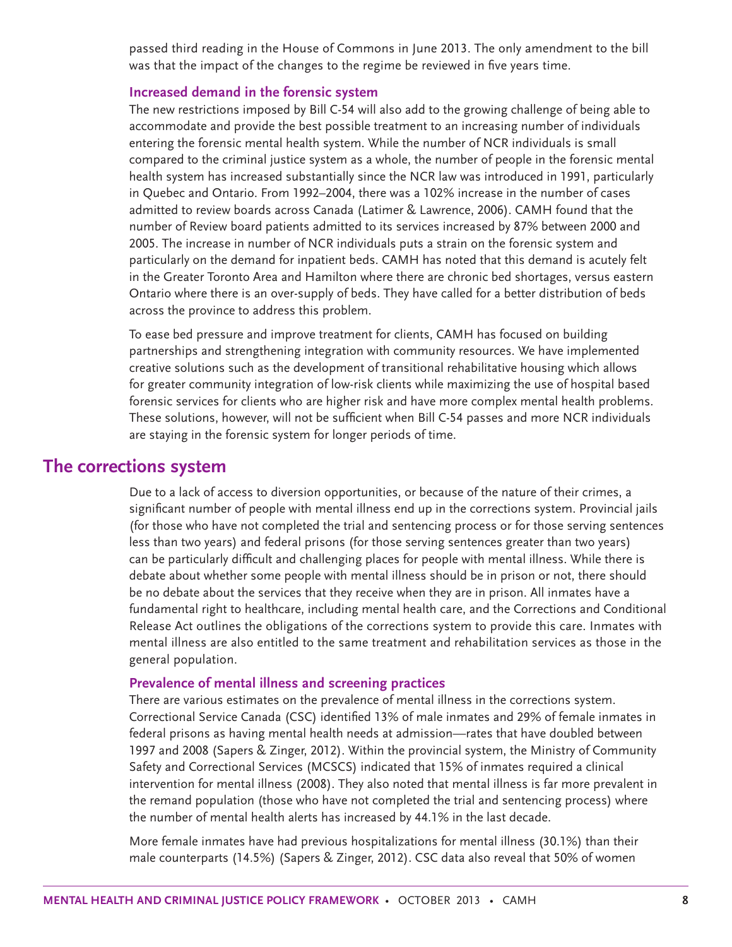passed third reading in the House of Commons in June 2013. The only amendment to the bill was that the impact of the changes to the regime be reviewed in five years time.

#### **Increased demand in the forensic system**

The new restrictions imposed by Bill C-54 will also add to the growing challenge of being able to accommodate and provide the best possible treatment to an increasing number of individuals entering the forensic mental health system. While the number of NCR individuals is small compared to the criminal justice system as a whole, the number of people in the forensic mental health system has increased substantially since the NCR law was introduced in 1991, particularly in Quebec and Ontario. From 1992–2004, there was a 102% increase in the number of cases admitted to review boards across Canada (Latimer & Lawrence, 2006). CAMH found that the number of Review board patients admitted to its services increased by 87% between 2000 and 2005. The increase in number of NCR individuals puts a strain on the forensic system and particularly on the demand for inpatient beds. CAMH has noted that this demand is acutely felt in the Greater Toronto Area and Hamilton where there are chronic bed shortages, versus eastern Ontario where there is an over-supply of beds. They have called for a better distribution of beds across the province to address this problem.

To ease bed pressure and improve treatment for clients, CAMH has focused on building partnerships and strengthening integration with community resources. We have implemented creative solutions such as the development of transitional rehabilitative housing which allows for greater community integration of low-risk clients while maximizing the use of hospital based forensic services for clients who are higher risk and have more complex mental health problems. These solutions, however, will not be sufficient when Bill C-54 passes and more NCR individuals are staying in the forensic system for longer periods of time.

### **The corrections system**

Due to a lack of access to diversion opportunities, or because of the nature of their crimes, a significant number of people with mental illness end up in the corrections system. Provincial jails (for those who have not completed the trial and sentencing process or for those serving sentences less than two years) and federal prisons (for those serving sentences greater than two years) can be particularly difficult and challenging places for people with mental illness. While there is debate about whether some people with mental illness should be in prison or not, there should be no debate about the services that they receive when they are in prison. All inmates have a fundamental right to healthcare, including mental health care, and the Corrections and Conditional Release Act outlines the obligations of the corrections system to provide this care. Inmates with mental illness are also entitled to the same treatment and rehabilitation services as those in the general population.

#### **Prevalence of mental illness and screening practices**

There are various estimates on the prevalence of mental illness in the corrections system. Correctional Service Canada (CSC) identified 13% of male inmates and 29% of female inmates in federal prisons as having mental health needs at admission—rates that have doubled between 1997 and 2008 (Sapers & Zinger, 2012). Within the provincial system, the Ministry of Community Safety and Correctional Services (MCSCS) indicated that 15% of inmates required a clinical intervention for mental illness (2008). They also noted that mental illness is far more prevalent in the remand population (those who have not completed the trial and sentencing process) where the number of mental health alerts has increased by 44.1% in the last decade.

More female inmates have had previous hospitalizations for mental illness (30.1%) than their male counterparts (14.5%) (Sapers & Zinger, 2012). CSC data also reveal that 50% of women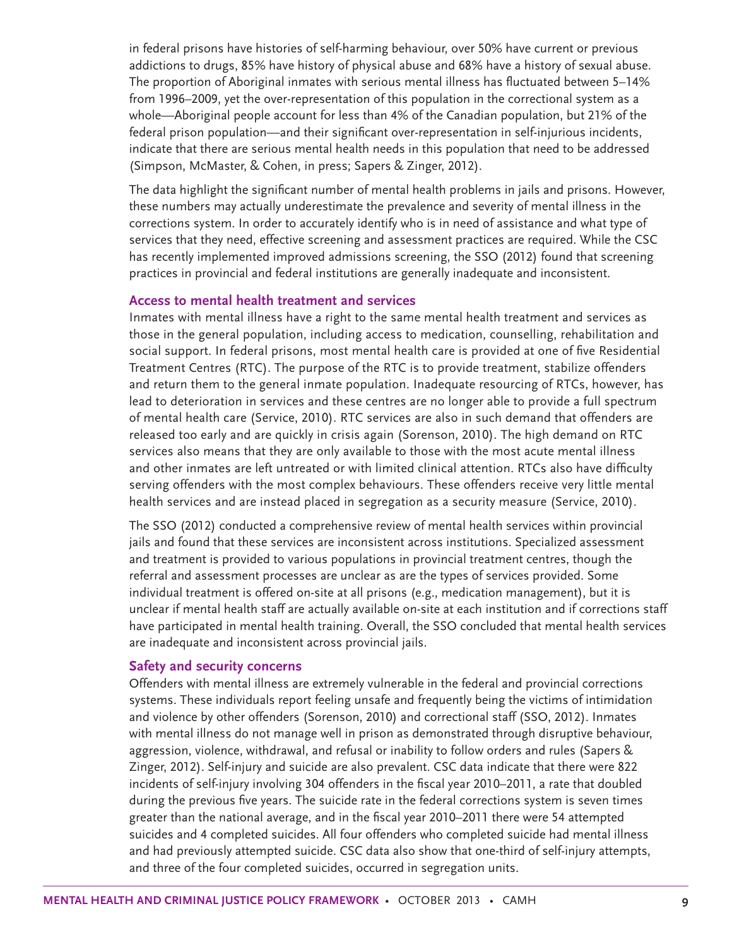in federal prisons have histories of self-harming behaviour, over 50% have current or previous addictions to drugs, 85% have history of physical abuse and 68% have a history of sexual abuse. The proportion of Aboriginal inmates with serious mental illness has fluctuated between 5–14% from 1996–2009, yet the over-representation of this population in the correctional system as a whole—Aboriginal people account for less than 4% of the Canadian population, but 21% of the federal prison population—and their significant over-representation in self-injurious incidents, indicate that there are serious mental health needs in this population that need to be addressed (Simpson, McMaster, & Cohen, in press; Sapers & Zinger, 2012).

The data highlight the significant number of mental health problems in jails and prisons. However, these numbers may actually underestimate the prevalence and severity of mental illness in the corrections system. In order to accurately identify who is in need of assistance and what type of services that they need, effective screening and assessment practices are required. While the CSC has recently implemented improved admissions screening, the SSO (2012) found that screening practices in provincial and federal institutions are generally inadequate and inconsistent.

#### **Access to mental health treatment and services**

Inmates with mental illness have a right to the same mental health treatment and services as those in the general population, including access to medication, counselling, rehabilitation and social support. In federal prisons, most mental health care is provided at one of five Residential Treatment Centres (RTC). The purpose of the RTC is to provide treatment, stabilize offenders and return them to the general inmate population. Inadequate resourcing of RTCs, however, has lead to deterioration in services and these centres are no longer able to provide a full spectrum of mental health care (Service, 2010). RTC services are also in such demand that offenders are released too early and are quickly in crisis again (Sorenson, 2010). The high demand on RTC services also means that they are only available to those with the most acute mental illness and other inmates are left untreated or with limited clinical attention. RTCs also have difficulty serving offenders with the most complex behaviours. These offenders receive very little mental health services and are instead placed in segregation as a security measure (Service, 2010).

The SSO (2012) conducted a comprehensive review of mental health services within provincial jails and found that these services are inconsistent across institutions. Specialized assessment and treatment is provided to various populations in provincial treatment centres, though the referral and assessment processes are unclear as are the types of services provided. Some individual treatment is offered on-site at all prisons (e.g., medication management), but it is unclear if mental health staff are actually available on-site at each institution and if corrections staff have participated in mental health training. Overall, the SSO concluded that mental health services are inadequate and inconsistent across provincial jails.

#### **Safety and security concerns**

Offenders with mental illness are extremely vulnerable in the federal and provincial corrections systems. These individuals report feeling unsafe and frequently being the victims of intimidation and violence by other offenders (Sorenson, 2010) and correctional staff (SSO, 2012). Inmates with mental illness do not manage well in prison as demonstrated through disruptive behaviour, aggression, violence, withdrawal, and refusal or inability to follow orders and rules (Sapers & Zinger, 2012). Self-injury and suicide are also prevalent. CSC data indicate that there were 822 incidents of self-injury involving 304 offenders in the fiscal year 2010–2011, a rate that doubled during the previous five years. The suicide rate in the federal corrections system is seven times greater than the national average, and in the fiscal year 2010–2011 there were 54 attempted suicides and 4 completed suicides. All four offenders who completed suicide had mental illness and had previously attempted suicide. CSC data also show that one-third of self-injury attempts, and three of the four completed suicides, occurred in segregation units.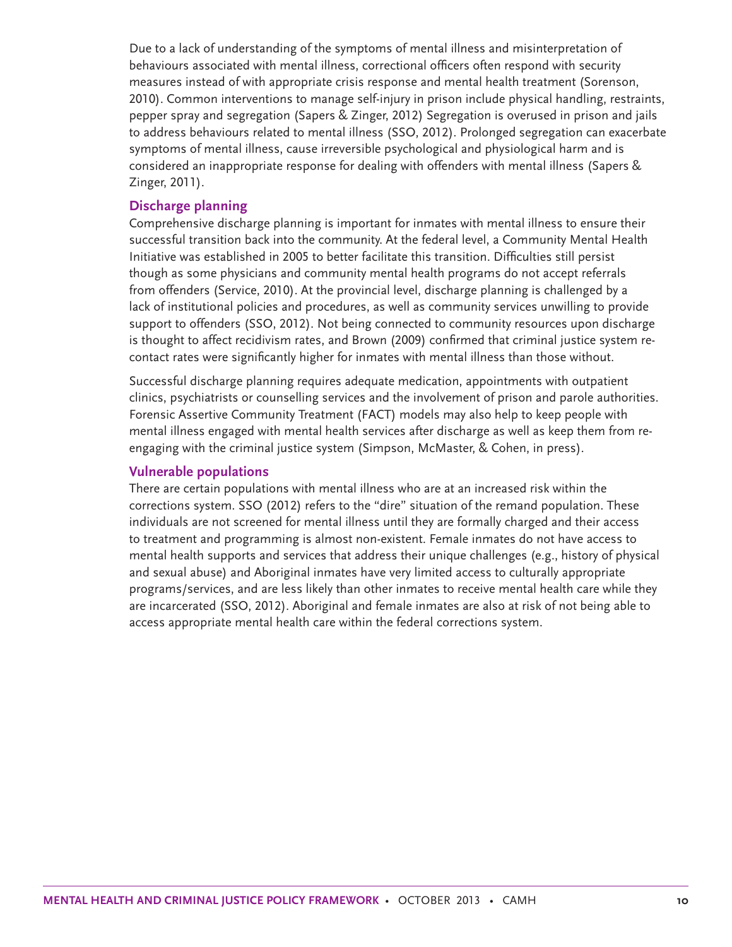Due to a lack of understanding of the symptoms of mental illness and misinterpretation of behaviours associated with mental illness, correctional officers often respond with security measures instead of with appropriate crisis response and mental health treatment (Sorenson, 2010). Common interventions to manage self-injury in prison include physical handling, restraints, pepper spray and segregation (Sapers & Zinger, 2012) Segregation is overused in prison and jails to address behaviours related to mental illness (SSO, 2012). Prolonged segregation can exacerbate symptoms of mental illness, cause irreversible psychological and physiological harm and is considered an inappropriate response for dealing with offenders with mental illness (Sapers & Zinger, 2011).

#### **Discharge planning**

Comprehensive discharge planning is important for inmates with mental illness to ensure their successful transition back into the community. At the federal level, a Community Mental Health Initiative was established in 2005 to better facilitate this transition. Difficulties still persist though as some physicians and community mental health programs do not accept referrals from offenders (Service, 2010). At the provincial level, discharge planning is challenged by a lack of institutional policies and procedures, as well as community services unwilling to provide support to offenders (SSO, 2012). Not being connected to community resources upon discharge is thought to affect recidivism rates, and Brown (2009) confirmed that criminal justice system recontact rates were significantly higher for inmates with mental illness than those without.

Successful discharge planning requires adequate medication, appointments with outpatient clinics, psychiatrists or counselling services and the involvement of prison and parole authorities. Forensic Assertive Community Treatment (FACT) models may also help to keep people with mental illness engaged with mental health services after discharge as well as keep them from reengaging with the criminal justice system (Simpson, McMaster, & Cohen, in press).

#### **Vulnerable populations**

There are certain populations with mental illness who are at an increased risk within the corrections system. SSO (2012) refers to the "dire" situation of the remand population. These individuals are not screened for mental illness until they are formally charged and their access to treatment and programming is almost non-existent. Female inmates do not have access to mental health supports and services that address their unique challenges (e.g., history of physical and sexual abuse) and Aboriginal inmates have very limited access to culturally appropriate programs/services, and are less likely than other inmates to receive mental health care while they are incarcerated (SSO, 2012). Aboriginal and female inmates are also at risk of not being able to access appropriate mental health care within the federal corrections system.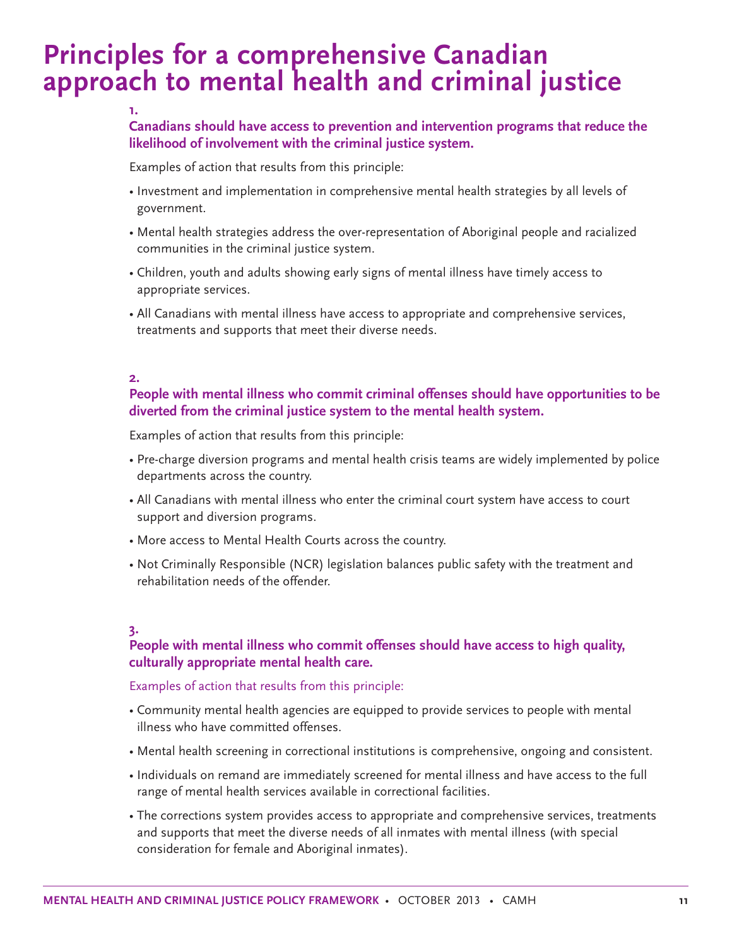## **Principles for a comprehensive Canadian approach to mental health and criminal justice**

#### **Canadians should have access to prevention and intervention programs that reduce the likelihood of involvement with the criminal justice system.**

Examples of action that results from this principle:

- Investment and implementation in comprehensive mental health strategies by all levels of government.
- Mental health strategies address the over-representation of Aboriginal people and racialized communities in the criminal justice system.
- Children, youth and adults showing early signs of mental illness have timely access to appropriate services.
- All Canadians with mental illness have access to appropriate and comprehensive services, treatments and supports that meet their diverse needs.

#### **2.**

**1.**

#### **People with mental illness who commit criminal offenses should have opportunities to be diverted from the criminal justice system to the mental health system.**

Examples of action that results from this principle:

- Pre-charge diversion programs and mental health crisis teams are widely implemented by police departments across the country.
- All Canadians with mental illness who enter the criminal court system have access to court support and diversion programs.
- More access to Mental Health Courts across the country.
- Not Criminally Responsible (NCR) legislation balances public safety with the treatment and rehabilitation needs of the offender.

#### **3.**

#### **People with mental illness who commit offenses should have access to high quality, culturally appropriate mental health care.**

#### Examples of action that results from this principle:

- Community mental health agencies are equipped to provide services to people with mental illness who have committed offenses.
- Mental health screening in correctional institutions is comprehensive, ongoing and consistent.
- Individuals on remand are immediately screened for mental illness and have access to the full range of mental health services available in correctional facilities.
- The corrections system provides access to appropriate and comprehensive services, treatments and supports that meet the diverse needs of all inmates with mental illness (with special consideration for female and Aboriginal inmates).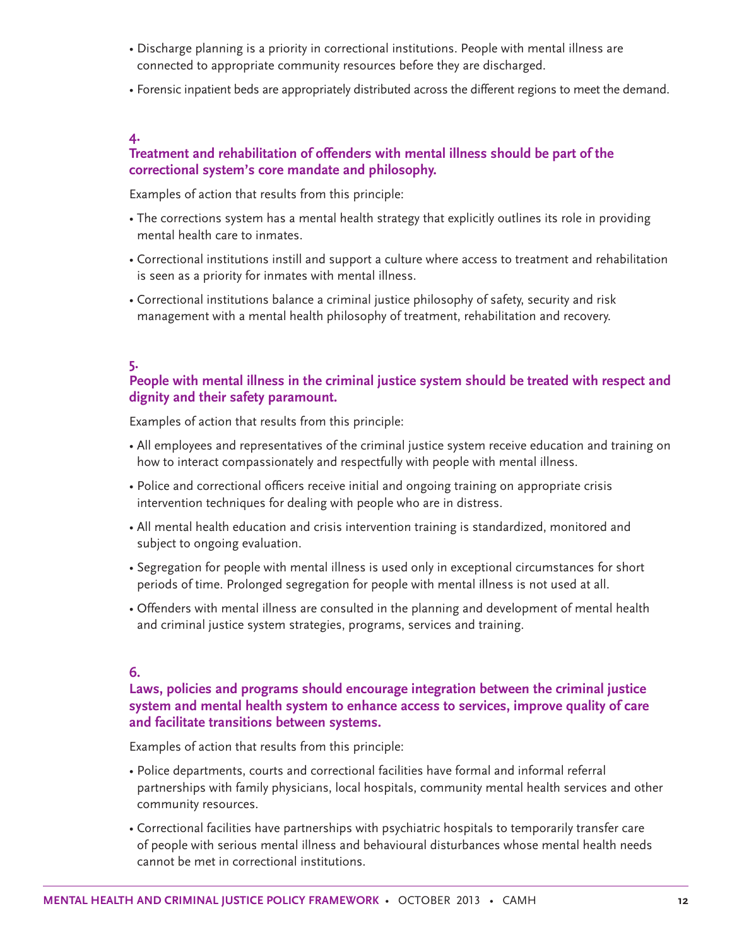- Discharge planning is a priority in correctional institutions. People with mental illness are connected to appropriate community resources before they are discharged.
- Forensic inpatient beds are appropriately distributed across the different regions to meet the demand.

#### **4.**

#### **Treatment and rehabilitation of offenders with mental illness should be part of the correctional system's core mandate and philosophy.**

Examples of action that results from this principle:

- The corrections system has a mental health strategy that explicitly outlines its role in providing mental health care to inmates.
- Correctional institutions instill and support a culture where access to treatment and rehabilitation is seen as a priority for inmates with mental illness.
- Correctional institutions balance a criminal justice philosophy of safety, security and risk management with a mental health philosophy of treatment, rehabilitation and recovery.

#### **5.**

#### **People with mental illness in the criminal justice system should be treated with respect and dignity and their safety paramount.**

Examples of action that results from this principle:

- All employees and representatives of the criminal justice system receive education and training on how to interact compassionately and respectfully with people with mental illness.
- Police and correctional officers receive initial and ongoing training on appropriate crisis intervention techniques for dealing with people who are in distress.
- All mental health education and crisis intervention training is standardized, monitored and subject to ongoing evaluation.
- Segregation for people with mental illness is used only in exceptional circumstances for short periods of time. Prolonged segregation for people with mental illness is not used at all.
- Offenders with mental illness are consulted in the planning and development of mental health and criminal justice system strategies, programs, services and training.

#### **6.**

#### **Laws, policies and programs should encourage integration between the criminal justice system and mental health system to enhance access to services, improve quality of care and facilitate transitions between systems.**

Examples of action that results from this principle:

- Police departments, courts and correctional facilities have formal and informal referral partnerships with family physicians, local hospitals, community mental health services and other community resources.
- Correctional facilities have partnerships with psychiatric hospitals to temporarily transfer care of people with serious mental illness and behavioural disturbances whose mental health needs cannot be met in correctional institutions.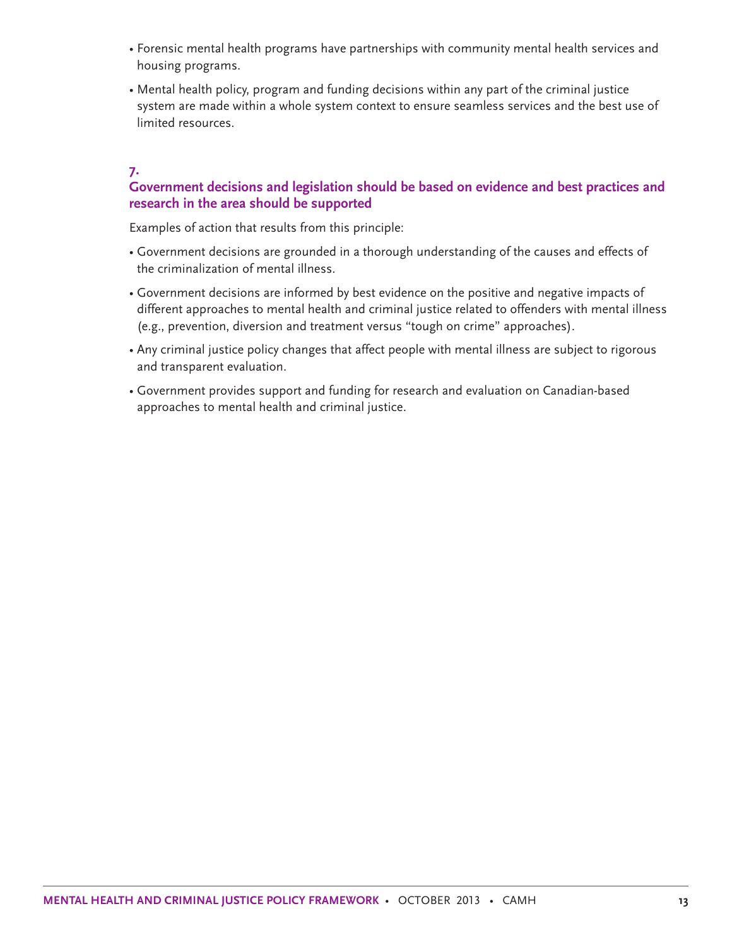- Forensic mental health programs have partnerships with community mental health services and housing programs.
- Mental health policy, program and funding decisions within any part of the criminal justice system are made within a whole system context to ensure seamless services and the best use of limited resources.

#### **7.**

#### **Government decisions and legislation should be based on evidence and best practices and research in the area should be supported**

Examples of action that results from this principle:

- Government decisions are grounded in a thorough understanding of the causes and effects of the criminalization of mental illness.
- Government decisions are informed by best evidence on the positive and negative impacts of different approaches to mental health and criminal justice related to offenders with mental illness (e.g., prevention, diversion and treatment versus "tough on crime" approaches).
- Any criminal justice policy changes that affect people with mental illness are subject to rigorous and transparent evaluation.
- Government provides support and funding for research and evaluation on Canadian-based approaches to mental health and criminal justice.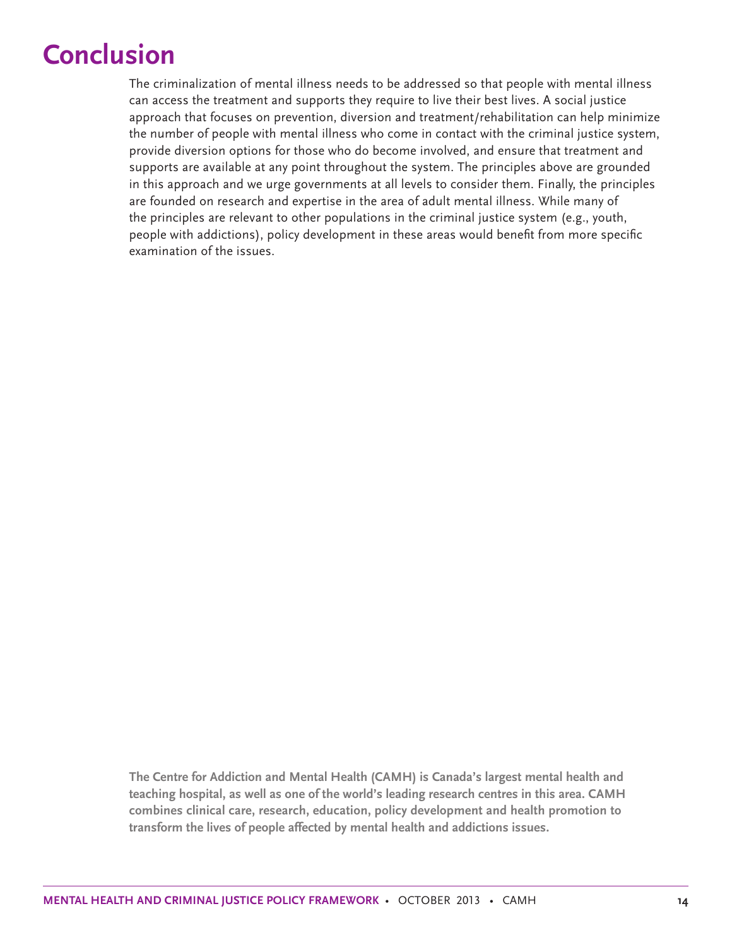# **Conclusion**

The criminalization of mental illness needs to be addressed so that people with mental illness can access the treatment and supports they require to live their best lives. A social justice approach that focuses on prevention, diversion and treatment/rehabilitation can help minimize the number of people with mental illness who come in contact with the criminal justice system, provide diversion options for those who do become involved, and ensure that treatment and supports are available at any point throughout the system. The principles above are grounded in this approach and we urge governments at all levels to consider them. Finally, the principles are founded on research and expertise in the area of adult mental illness. While many of the principles are relevant to other populations in the criminal justice system (e.g., youth, people with addictions), policy development in these areas would benefit from more specific examination of the issues.

**The Centre for Addiction and Mental Health (CAMH) is Canada's largest mental health and teaching hospital, as well as one of the world's leading research centres in this area. CAMH combines clinical care, research, education, policy development and health promotion to transform the lives of people affected by mental health and addictions issues.**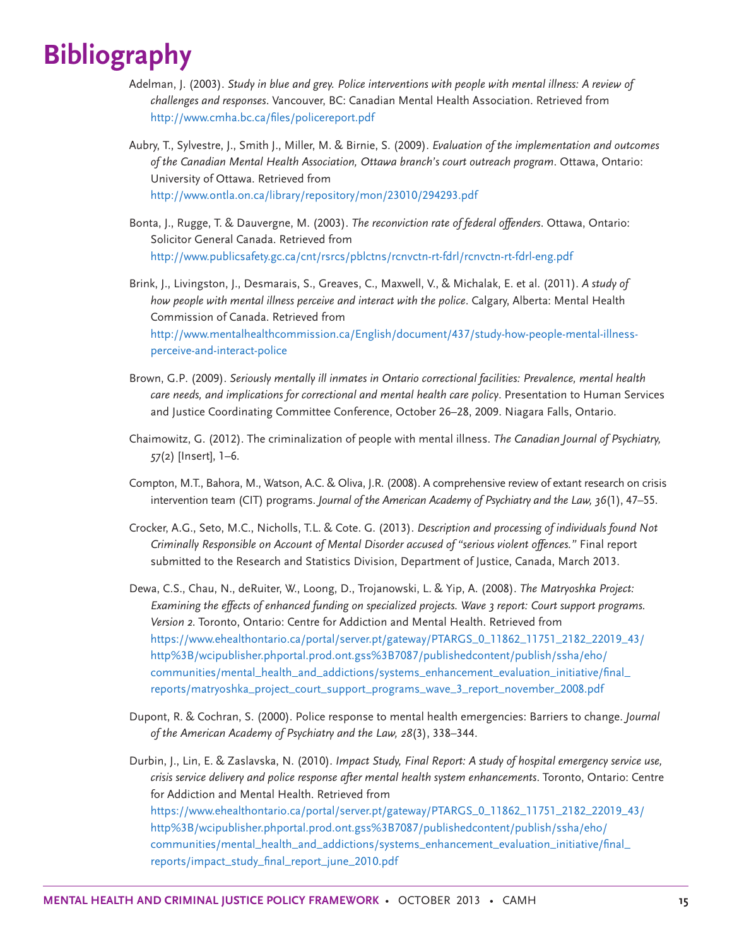# **Bibliography**

- Adelman, J. (2003). *Study in blue and grey. Police interventions with people with mental illness: A review of challenges and responses*. Vancouver, BC: Canadian Mental Health Association. Retrieved from http://www.cmha.bc.ca/files/policereport.pdf
- Aubry, T., Sylvestre, J., Smith J., Miller, M. & Birnie, S. (2009). *Evaluation of the implementation and outcomes of the Canadian Mental Health Association, Ottawa branch's court outreach program*. Ottawa, Ontario: University of Ottawa. Retrieved from http://www.ontla.on.ca/library/repository/mon/23010/294293.pdf
- Bonta, J., Rugge, T. & Dauvergne, M. (2003). *The reconviction rate of federal offenders*. Ottawa, Ontario: Solicitor General Canada. Retrieved from http://www.publicsafety.gc.ca/cnt/rsrcs/pblctns/rcnvctn-rt-fdrl/rcnvctn-rt-fdrl-eng.pdf
- Brink, J., Livingston, J., Desmarais, S., Greaves, C., Maxwell, V., & Michalak, E. et al. (2011). *A study of how people with mental illness perceive and interact with the police*. Calgary, Alberta: Mental Health Commission of Canada. Retrieved from http://www.mentalhealthcommission.ca/English/document/437/study-how-people-mental-illnessperceive-and-interact-police
- Brown, G.P. (2009). *Seriously mentally ill inmates in Ontario correctional facilities: Prevalence, mental health care needs, and implications for correctional and mental health care policy*. Presentation to Human Services and Justice Coordinating Committee Conference, October 26–28, 2009. Niagara Falls, Ontario.
- Chaimowitz, G. (2012). The criminalization of people with mental illness. *The Canadian Journal of Psychiatry, 57*(2) [Insert], 1–6.
- Compton, M.T., Bahora, M., Watson, A.C. & Oliva, J.R. (2008). A comprehensive review of extant research on crisis intervention team (CIT) programs. *Journal of the American Academy of Psychiatry and the Law, 36*(1), 47–55.
- Crocker, A.G., Seto, M.C., Nicholls, T.L. & Cote. G. (2013). *Description and processing of individuals found Not Criminally Responsible on Account of Mental Disorder accused of "serious violent offences."* Final report submitted to the Research and Statistics Division, Department of Justice, Canada, March 2013.
- Dewa, C.S., Chau, N., deRuiter, W., Loong, D., Trojanowski, L. & Yip, A. (2008). *The Matryoshka Project: Examining the effects of enhanced funding on specialized projects. Wave 3 report: Court support programs. Version 2*. Toronto, Ontario: Centre for Addiction and Mental Health. Retrieved from https://www.ehealthontario.ca/portal/server.pt/gateway/PTARGS\_0\_11862\_11751\_2182\_22019\_43/ http%3B/wcipublisher.phportal.prod.ont.gss%3B7087/publishedcontent/publish/ssha/eho/ communities/mental\_health\_and\_addictions/systems\_enhancement\_evaluation\_initiative/final\_ reports/matryoshka\_project\_court\_support\_programs\_wave\_3\_report\_november\_2008.pdf
- Dupont, R. & Cochran, S. (2000). Police response to mental health emergencies: Barriers to change. *Journal of the American Academy of Psychiatry and the Law, 28*(3), 338–344.
- Durbin, J., Lin, E. & Zaslavska, N. (2010). *Impact Study, Final Report: A study of hospital emergency service use, crisis service delivery and police response after mental health system enhancements*. Toronto, Ontario: Centre for Addiction and Mental Health. Retrieved from https://www.ehealthontario.ca/portal/server.pt/gateway/PTARGS\_0\_11862\_11751\_2182\_22019\_43/ http%3B/wcipublisher.phportal.prod.ont.gss%3B7087/publishedcontent/publish/ssha/eho/ communities/mental\_health\_and\_addictions/systems\_enhancement\_evaluation\_initiative/final\_ reports/impact\_study\_final\_report\_june\_2010.pdf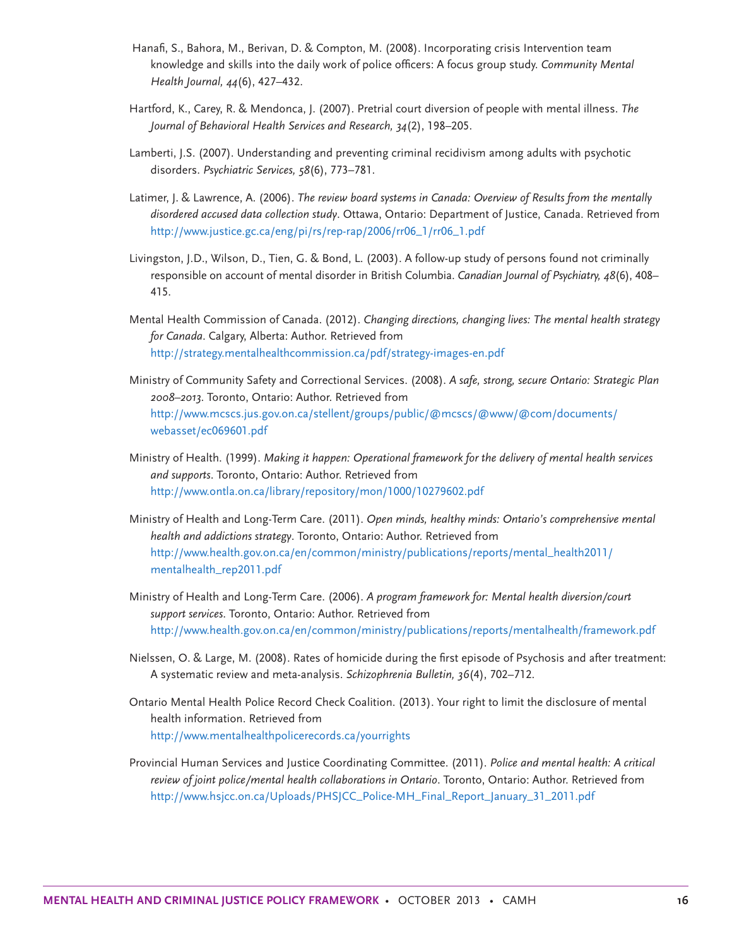- Hanafi, S., Bahora, M., Berivan, D. & Compton, M. (2008). Incorporating crisis Intervention team knowledge and skills into the daily work of police officers: A focus group study. *Community Mental Health Journal, 44*(6), 427–432.
- Hartford, K., Carey, R. & Mendonca, J. (2007). Pretrial court diversion of people with mental illness. *The Journal of Behavioral Health Services and Research, 34*(2), 198–205.
- Lamberti, J.S. (2007). Understanding and preventing criminal recidivism among adults with psychotic disorders. *Psychiatric Services, 58*(6), 773–781.
- Latimer, J. & Lawrence, A. (2006). *The review board systems in Canada: Overview of Results from the mentally disordered accused data collection study*. Ottawa, Ontario: Department of Justice, Canada. Retrieved from http://www.justice.gc.ca/eng/pi/rs/rep-rap/2006/rr06\_1/rr06\_1.pdf
- Livingston, J.D., Wilson, D., Tien, G. & Bond, L. (2003). A follow-up study of persons found not criminally responsible on account of mental disorder in British Columbia. *Canadian Journal of Psychiatry, 48*(6), 408– 415.
- Mental Health Commission of Canada. (2012). *Changing directions, changing lives: The mental health strategy for Canada*. Calgary, Alberta: Author. Retrieved from http://strategy.mentalhealthcommission.ca/pdf/strategy-images-en.pdf
- Ministry of Community Safety and Correctional Services. (2008). *A safe, strong, secure Ontario: Strategic Plan 2008–2013*. Toronto, Ontario: Author. Retrieved from http://www.mcscs.jus.gov.on.ca/stellent/groups/public/@mcscs/@www/@com/documents/ webasset/ec069601.pdf
- Ministry of Health. (1999). *Making it happen: Operational framework for the delivery of mental health services and supports*. Toronto, Ontario: Author. Retrieved from http://www.ontla.on.ca/library/repository/mon/1000/10279602.pdf
- Ministry of Health and Long-Term Care. (2011). *Open minds, healthy minds: Ontario's comprehensive mental health and addictions strategy*. Toronto, Ontario: Author. Retrieved from http://www.health.gov.on.ca/en/common/ministry/publications/reports/mental\_health2011/ mentalhealth\_rep2011.pdf
- Ministry of Health and Long-Term Care. (2006). *A program framework for: Mental health diversion/court support services*. Toronto, Ontario: Author. Retrieved from http://www.health.gov.on.ca/en/common/ministry/publications/reports/mentalhealth/framework.pdf
- Nielssen, O. & Large, M. (2008). Rates of homicide during the first episode of Psychosis and after treatment: A systematic review and meta-analysis. *Schizophrenia Bulletin, 36*(4), 702–712.
- Ontario Mental Health Police Record Check Coalition. (2013). Your right to limit the disclosure of mental health information. Retrieved from http://www.mentalhealthpolicerecords.ca/yourrights
- Provincial Human Services and Justice Coordinating Committee. (2011). *Police and mental health: A critical review of joint police/mental health collaborations in Ontario*. Toronto, Ontario: Author. Retrieved from http://www.hsjcc.on.ca/Uploads/PHSJCC\_Police-MH\_Final\_Report\_January\_31\_2011.pdf